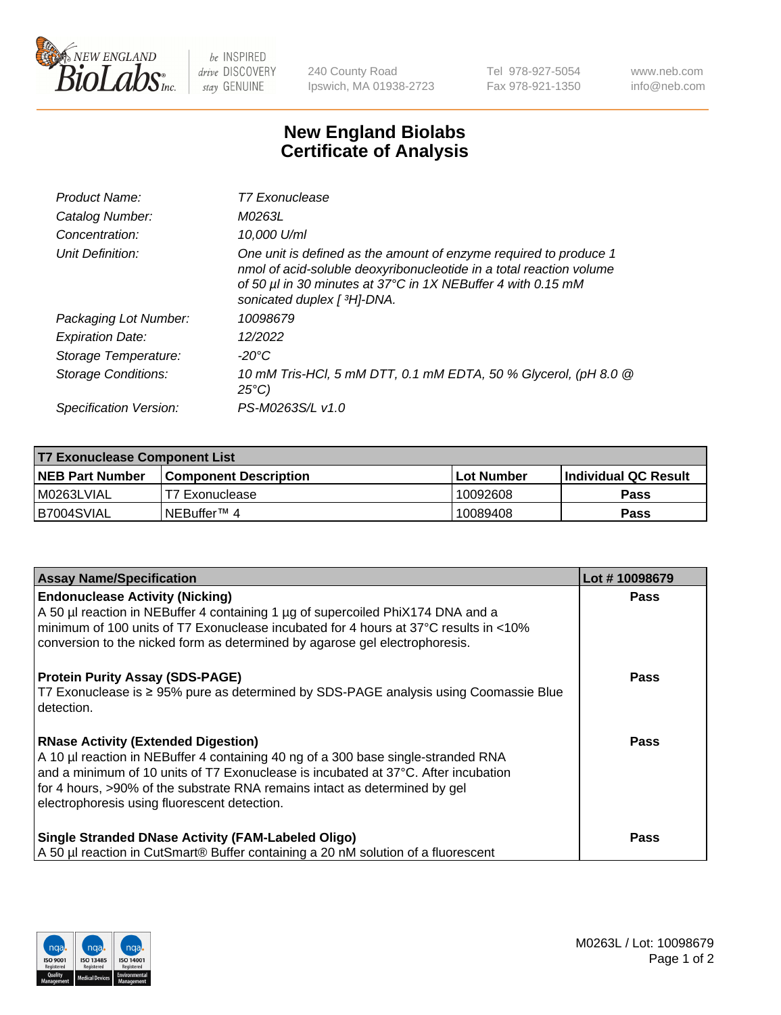

 $be$  INSPIRED drive DISCOVERY stay GENUINE

240 County Road Ipswich, MA 01938-2723 Tel 978-927-5054 Fax 978-921-1350 www.neb.com info@neb.com

## **New England Biolabs Certificate of Analysis**

| Product Name:           | T7 Exonuclease                                                                                                                                                                                                                          |
|-------------------------|-----------------------------------------------------------------------------------------------------------------------------------------------------------------------------------------------------------------------------------------|
| Catalog Number:         | M0263L                                                                                                                                                                                                                                  |
| Concentration:          | 10,000 U/ml                                                                                                                                                                                                                             |
| Unit Definition:        | One unit is defined as the amount of enzyme required to produce 1<br>nmol of acid-soluble deoxyribonucleotide in a total reaction volume<br>of 50 µl in 30 minutes at 37°C in 1X NEBuffer 4 with 0.15 mM<br>sonicated duplex [ 3H]-DNA. |
| Packaging Lot Number:   | 10098679                                                                                                                                                                                                                                |
| <b>Expiration Date:</b> | 12/2022                                                                                                                                                                                                                                 |
| Storage Temperature:    | -20°C                                                                                                                                                                                                                                   |
| Storage Conditions:     | 10 mM Tris-HCl, 5 mM DTT, 0.1 mM EDTA, 50 % Glycerol, (pH 8.0 @<br>$25^{\circ}$ C)                                                                                                                                                      |
| Specification Version:  | PS-M0263S/L v1.0                                                                                                                                                                                                                        |

| T7 Exonuclease Component List |                              |                   |                       |  |  |
|-------------------------------|------------------------------|-------------------|-----------------------|--|--|
| NEB Part Number               | <b>Component Description</b> | <b>Lot Number</b> | ∣Individual QC Result |  |  |
| M0263LVIAL                    | T7 Exonuclease               | 10092608          | <b>Pass</b>           |  |  |
| B7004SVIAL                    | INEBuffer™ 4                 | 10089408          | Pass                  |  |  |

| <b>Assay Name/Specification</b>                                                                                                                                                                                                                                                                                                                     | Lot #10098679 |
|-----------------------------------------------------------------------------------------------------------------------------------------------------------------------------------------------------------------------------------------------------------------------------------------------------------------------------------------------------|---------------|
| <b>Endonuclease Activity (Nicking)</b><br>A 50 µl reaction in NEBuffer 4 containing 1 µg of supercoiled PhiX174 DNA and a<br>minimum of 100 units of T7 Exonuclease incubated for 4 hours at 37°C results in <10%<br>conversion to the nicked form as determined by agarose gel electrophoresis.                                                    | <b>Pass</b>   |
| <b>Protein Purity Assay (SDS-PAGE)</b><br>T7 Exonuclease is ≥ 95% pure as determined by SDS-PAGE analysis using Coomassie Blue<br>l detection.                                                                                                                                                                                                      | <b>Pass</b>   |
| <b>RNase Activity (Extended Digestion)</b><br>A 10 µl reaction in NEBuffer 4 containing 40 ng of a 300 base single-stranded RNA<br>and a minimum of 10 units of T7 Exonuclease is incubated at 37°C. After incubation<br>for 4 hours, >90% of the substrate RNA remains intact as determined by gel<br>electrophoresis using fluorescent detection. | Pass          |
| <b>Single Stranded DNase Activity (FAM-Labeled Oligo)</b><br>A 50 µl reaction in CutSmart® Buffer containing a 20 nM solution of a fluorescent                                                                                                                                                                                                      | <b>Pass</b>   |